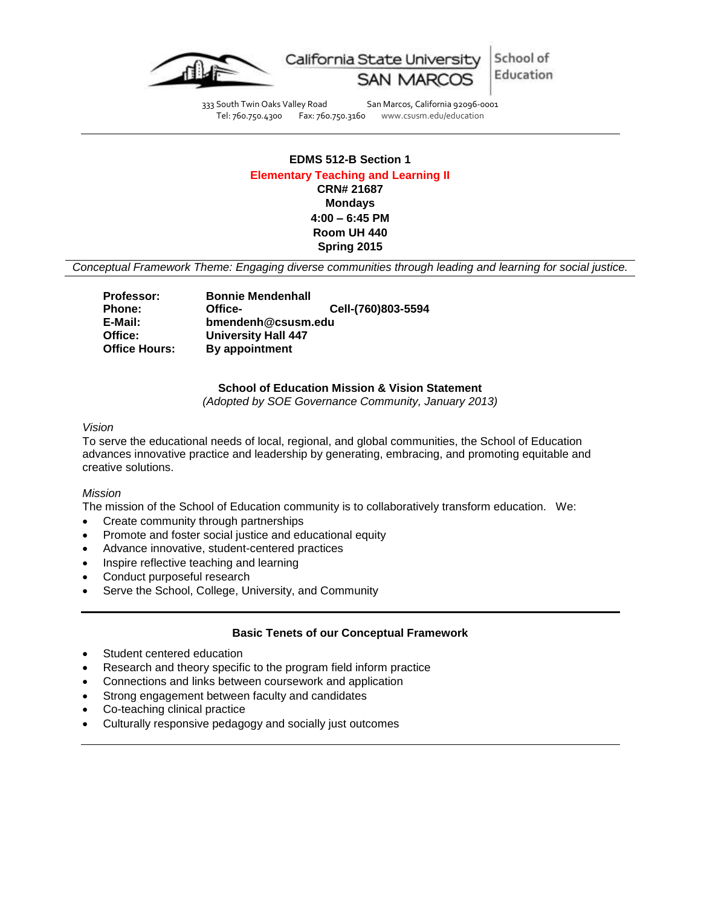

School of California State University Education

333 South Twin Oaks Valley Road San Marcos, California 92096-0001<br>Tel: 760.750.4300 Fax: 760.750.3160 www.csusm.edu/education www.csusm.edu/education

# **EDMS 512-B Section 1 Elementary Teaching and Learning II CRN# 21687 Mondays 4:00 – 6:45 PM Room UH 440 Spring 2015**

*Conceptual Framework Theme: Engaging diverse communities through leading and learning for social justice.*

| <b>Professor:</b>    | <b>Bonnie Mendenhall</b>   |                    |
|----------------------|----------------------------|--------------------|
| <b>Phone:</b>        | Office-                    | Cell-(760)803-5594 |
| E-Mail:              | bmendenh@csusm.edu         |                    |
| Office:              | <b>University Hall 447</b> |                    |
| <b>Office Hours:</b> | By appointment             |                    |

#### **School of Education Mission & Vision Statement**

*(Adopted by SOE Governance Community, January 2013)*

## *Vision*

To serve the educational needs of local, regional, and global communities, the School of Education advances innovative practice and leadership by generating, embracing, and promoting equitable and creative solutions.

#### *Mission*

The mission of the School of Education community is to collaboratively transform education. We:

- Create community through partnerships
- Promote and foster social justice and educational equity
- Advance innovative, student-centered practices
- Inspire reflective teaching and learning
- Conduct purposeful research
- Serve the School, College, University, and Community

### **Basic Tenets of our Conceptual Framework**

- Student centered education
- Research and theory specific to the program field inform practice
- Connections and links between coursework and application
- Strong engagement between faculty and candidates
- Co-teaching clinical practice
- Culturally responsive pedagogy and socially just outcomes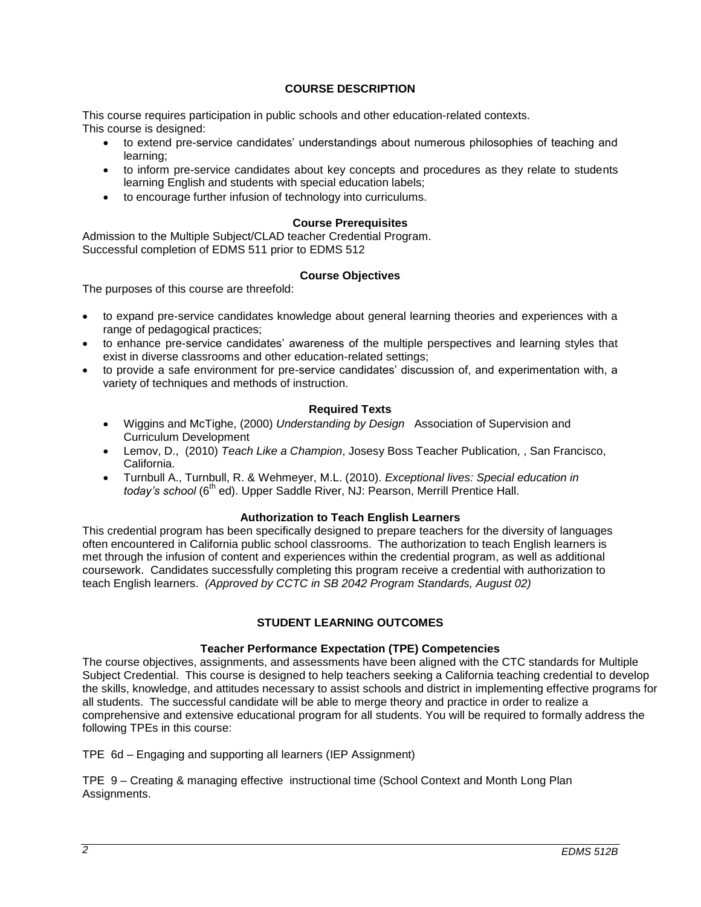## **COURSE DESCRIPTION**

This course requires participation in public schools and other education-related contexts. This course is designed:

- to extend pre-service candidates' understandings about numerous philosophies of teaching and learning;
- to inform pre-service candidates about key concepts and procedures as they relate to students learning English and students with special education labels;
- to encourage further infusion of technology into curriculums.

#### **Course Prerequisites**

Admission to the Multiple Subject/CLAD teacher Credential Program. Successful completion of EDMS 511 prior to EDMS 512

### **Course Objectives**

The purposes of this course are threefold:

- to expand pre-service candidates knowledge about general learning theories and experiences with a range of pedagogical practices;
- to enhance pre-service candidates' awareness of the multiple perspectives and learning styles that exist in diverse classrooms and other education-related settings;
- to provide a safe environment for pre-service candidates' discussion of, and experimentation with, a variety of techniques and methods of instruction.

### **Required Texts**

- Wiggins and McTighe, (2000) *Understanding by Design* Association of Supervision and Curriculum Development
- Lemov, D., (2010) *Teach Like a Champion*, Josesy Boss Teacher Publication, , San Francisco, California.
- Turnbull A., Turnbull, R. & Wehmeyer, M.L. (2010). *Exceptional lives: Special education in*  today's school (6<sup>th</sup> ed). Upper Saddle River, NJ: Pearson, Merrill Prentice Hall.

### **Authorization to Teach English Learners**

This credential program has been specifically designed to prepare teachers for the diversity of languages often encountered in California public school classrooms. The authorization to teach English learners is met through the infusion of content and experiences within the credential program, as well as additional coursework. Candidates successfully completing this program receive a credential with authorization to teach English learners. *(Approved by CCTC in SB 2042 Program Standards, August 02)*

## **STUDENT LEARNING OUTCOMES**

### **Teacher Performance Expectation (TPE) Competencies**

The course objectives, assignments, and assessments have been aligned with the CTC standards for Multiple Subject Credential. This course is designed to help teachers seeking a California teaching credential to develop the skills, knowledge, and attitudes necessary to assist schools and district in implementing effective programs for all students. The successful candidate will be able to merge theory and practice in order to realize a comprehensive and extensive educational program for all students. You will be required to formally address the following TPEs in this course:

TPE 6d – Engaging and supporting all learners (IEP Assignment)

TPE 9 – Creating & managing effective instructional time (School Context and Month Long Plan Assignments.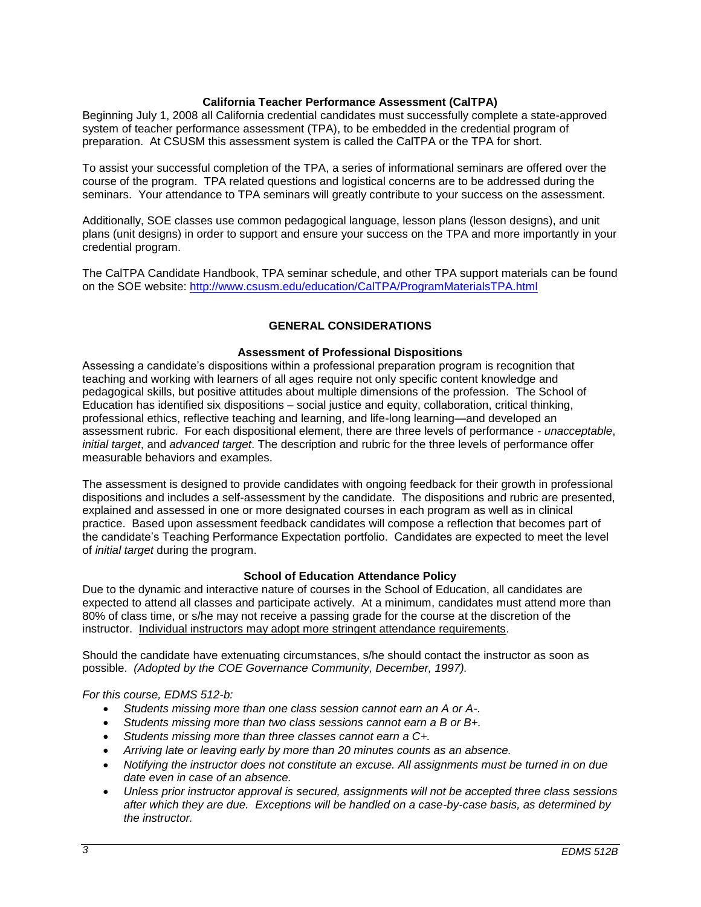## **California Teacher Performance Assessment (CalTPA)**

Beginning July 1, 2008 all California credential candidates must successfully complete a state-approved system of teacher performance assessment (TPA), to be embedded in the credential program of preparation. At CSUSM this assessment system is called the CalTPA or the TPA for short.

To assist your successful completion of the TPA, a series of informational seminars are offered over the course of the program. TPA related questions and logistical concerns are to be addressed during the seminars. Your attendance to TPA seminars will greatly contribute to your success on the assessment.

Additionally, SOE classes use common pedagogical language, lesson plans (lesson designs), and unit plans (unit designs) in order to support and ensure your success on the TPA and more importantly in your credential program.

The CalTPA Candidate Handbook, TPA seminar schedule, and other TPA support materials can be found on the SOE website: <http://www.csusm.edu/education/CalTPA/ProgramMaterialsTPA.html>

## **GENERAL CONSIDERATIONS**

### **Assessment of Professional Dispositions**

Assessing a candidate's dispositions within a professional preparation program is recognition that teaching and working with learners of all ages require not only specific content knowledge and pedagogical skills, but positive attitudes about multiple dimensions of the profession. The School of Education has identified six dispositions – social justice and equity, collaboration, critical thinking, professional ethics, reflective teaching and learning, and life-long learning—and developed an assessment rubric. For each dispositional element, there are three levels of performance - *unacceptable*, *initial target*, and *advanced target*. The description and rubric for the three levels of performance offer measurable behaviors and examples.

The assessment is designed to provide candidates with ongoing feedback for their growth in professional dispositions and includes a self-assessment by the candidate. The dispositions and rubric are presented, explained and assessed in one or more designated courses in each program as well as in clinical practice. Based upon assessment feedback candidates will compose a reflection that becomes part of the candidate's Teaching Performance Expectation portfolio. Candidates are expected to meet the level of *initial target* during the program.

### **School of Education Attendance Policy**

Due to the dynamic and interactive nature of courses in the School of Education, all candidates are expected to attend all classes and participate actively. At a minimum, candidates must attend more than 80% of class time, or s/he may not receive a passing grade for the course at the discretion of the instructor. Individual instructors may adopt more stringent attendance requirements.

Should the candidate have extenuating circumstances, s/he should contact the instructor as soon as possible. *(Adopted by the COE Governance Community, December, 1997).*

### *For this course, EDMS 512-b:*

- *Students missing more than one class session cannot earn an A or A-.*
- *Students missing more than two class sessions cannot earn a B or B+.*
- *Students missing more than three classes cannot earn a C+.*
- *Arriving late or leaving early by more than 20 minutes counts as an absence.*
- *Notifying the instructor does not constitute an excuse. All assignments must be turned in on due date even in case of an absence.*
- *Unless prior instructor approval is secured, assignments will not be accepted three class sessions after which they are due. Exceptions will be handled on a case-by-case basis, as determined by the instructor.*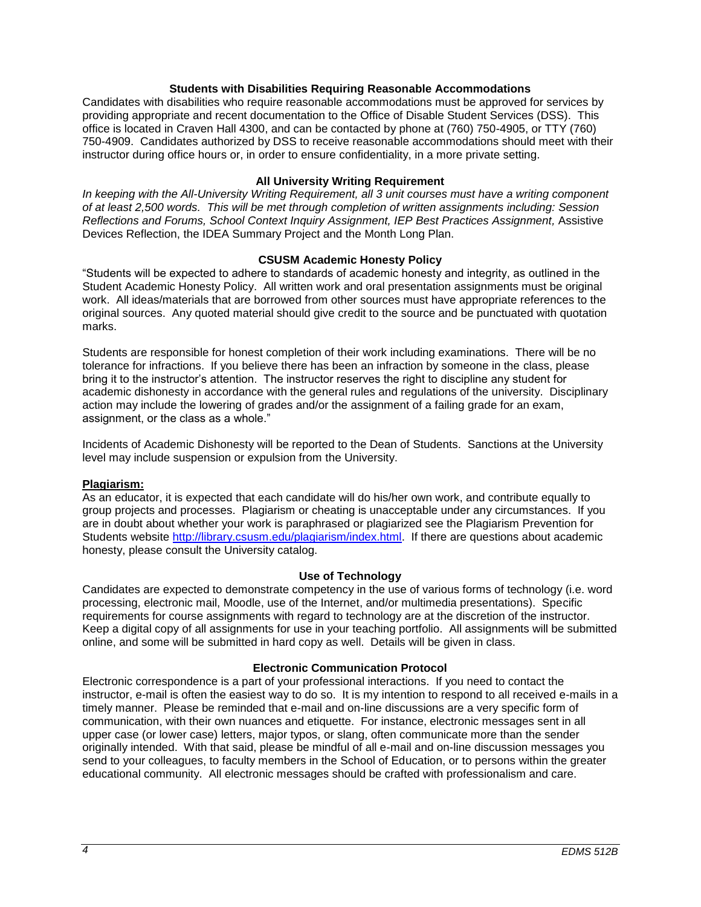### **Students with Disabilities Requiring Reasonable Accommodations**

Candidates with disabilities who require reasonable accommodations must be approved for services by providing appropriate and recent documentation to the Office of Disable Student Services (DSS). This office is located in Craven Hall 4300, and can be contacted by phone at (760) 750-4905, or TTY (760) 750-4909. Candidates authorized by DSS to receive reasonable accommodations should meet with their instructor during office hours or, in order to ensure confidentiality, in a more private setting.

## **All University Writing Requirement**

*In keeping with the All-University Writing Requirement, all 3 unit courses must have a writing component of at least 2,500 words. This will be met through completion of written assignments including: Session Reflections and Forums, School Context Inquiry Assignment, IEP Best Practices Assignment,* Assistive Devices Reflection, the IDEA Summary Project and the Month Long Plan.

## **CSUSM Academic Honesty Policy**

"Students will be expected to adhere to standards of academic honesty and integrity, as outlined in the Student Academic Honesty Policy. All written work and oral presentation assignments must be original work. All ideas/materials that are borrowed from other sources must have appropriate references to the original sources. Any quoted material should give credit to the source and be punctuated with quotation marks.

Students are responsible for honest completion of their work including examinations. There will be no tolerance for infractions. If you believe there has been an infraction by someone in the class, please bring it to the instructor's attention. The instructor reserves the right to discipline any student for academic dishonesty in accordance with the general rules and regulations of the university. Disciplinary action may include the lowering of grades and/or the assignment of a failing grade for an exam, assignment, or the class as a whole."

Incidents of Academic Dishonesty will be reported to the Dean of Students. Sanctions at the University level may include suspension or expulsion from the University.

### **Plagiarism:**

As an educator, it is expected that each candidate will do his/her own work, and contribute equally to group projects and processes. Plagiarism or cheating is unacceptable under any circumstances. If you are in doubt about whether your work is paraphrased or plagiarized see the Plagiarism Prevention for Students website [http://library.csusm.edu/plagiarism/index.html.](http://library.csusm.edu/plagiarism/index.html) If there are questions about academic honesty, please consult the University catalog.

### **Use of Technology**

Candidates are expected to demonstrate competency in the use of various forms of technology (i.e. word processing, electronic mail, Moodle, use of the Internet, and/or multimedia presentations). Specific requirements for course assignments with regard to technology are at the discretion of the instructor. Keep a digital copy of all assignments for use in your teaching portfolio. All assignments will be submitted online, and some will be submitted in hard copy as well. Details will be given in class.

## **Electronic Communication Protocol**

Electronic correspondence is a part of your professional interactions. If you need to contact the instructor, e-mail is often the easiest way to do so. It is my intention to respond to all received e-mails in a timely manner. Please be reminded that e-mail and on-line discussions are a very specific form of communication, with their own nuances and etiquette. For instance, electronic messages sent in all upper case (or lower case) letters, major typos, or slang, often communicate more than the sender originally intended. With that said, please be mindful of all e-mail and on-line discussion messages you send to your colleagues, to faculty members in the School of Education, or to persons within the greater educational community. All electronic messages should be crafted with professionalism and care.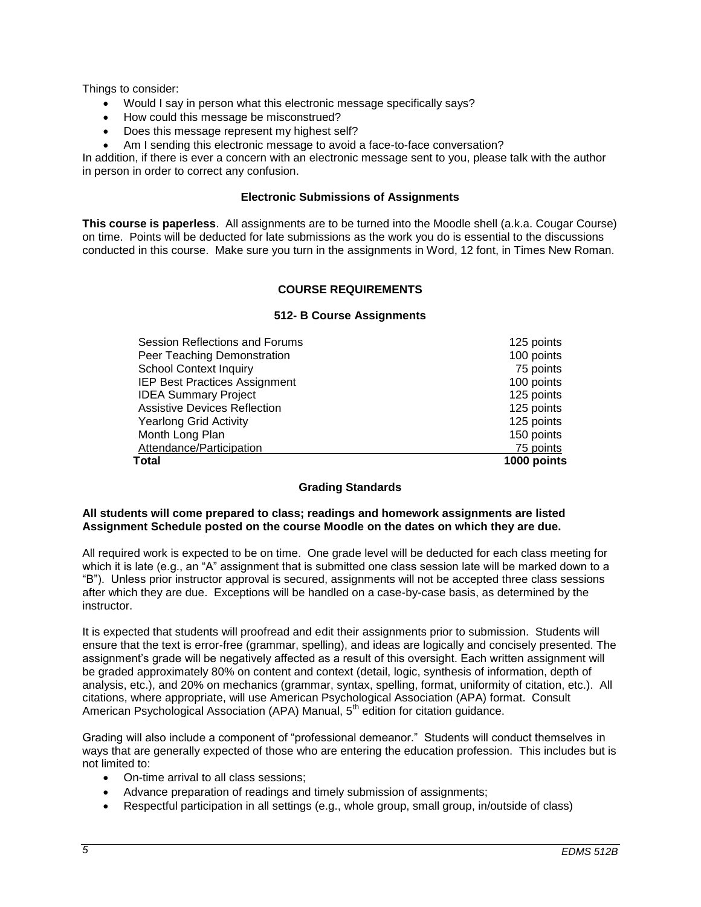Things to consider:

- Would I say in person what this electronic message specifically says?
- How could this message be misconstrued?
- Does this message represent my highest self?
- Am I sending this electronic message to avoid a face-to-face conversation?

In addition, if there is ever a concern with an electronic message sent to you, please talk with the author in person in order to correct any confusion.

#### **Electronic Submissions of Assignments**

**This course is paperless**. All assignments are to be turned into the Moodle shell (a.k.a. Cougar Course) on time. Points will be deducted for late submissions as the work you do is essential to the discussions conducted in this course. Make sure you turn in the assignments in Word, 12 font, in Times New Roman.

## **COURSE REQUIREMENTS**

### **512- B Course Assignments**

| <b>Total</b>                         | 1000 points |
|--------------------------------------|-------------|
| Attendance/Participation             | 75 points   |
| Month Long Plan                      | 150 points  |
| <b>Yearlong Grid Activity</b>        | 125 points  |
| <b>Assistive Devices Reflection</b>  | 125 points  |
| <b>IDEA Summary Project</b>          | 125 points  |
| <b>IEP Best Practices Assignment</b> | 100 points  |
| <b>School Context Inquiry</b>        | 75 points   |
| Peer Teaching Demonstration          | 100 points  |
| Session Reflections and Forums       | 125 points  |
|                                      |             |

### **Grading Standards**

## **All students will come prepared to class; readings and homework assignments are listed Assignment Schedule posted on the course Moodle on the dates on which they are due.**

All required work is expected to be on time. One grade level will be deducted for each class meeting for which it is late (e.g., an "A" assignment that is submitted one class session late will be marked down to a "B"). Unless prior instructor approval is secured, assignments will not be accepted three class sessions after which they are due. Exceptions will be handled on a case-by-case basis, as determined by the instructor.

It is expected that students will proofread and edit their assignments prior to submission. Students will ensure that the text is error-free (grammar, spelling), and ideas are logically and concisely presented. The assignment's grade will be negatively affected as a result of this oversight. Each written assignment will be graded approximately 80% on content and context (detail, logic, synthesis of information, depth of analysis, etc.), and 20% on mechanics (grammar, syntax, spelling, format, uniformity of citation, etc.). All citations, where appropriate, will use American Psychological Association (APA) format. Consult American Psychological Association (APA) Manual, 5<sup>th</sup> edition for citation guidance.

Grading will also include a component of "professional demeanor." Students will conduct themselves in ways that are generally expected of those who are entering the education profession. This includes but is not limited to:

- On-time arrival to all class sessions;
- Advance preparation of readings and timely submission of assignments;
- Respectful participation in all settings (e.g., whole group, small group, in/outside of class)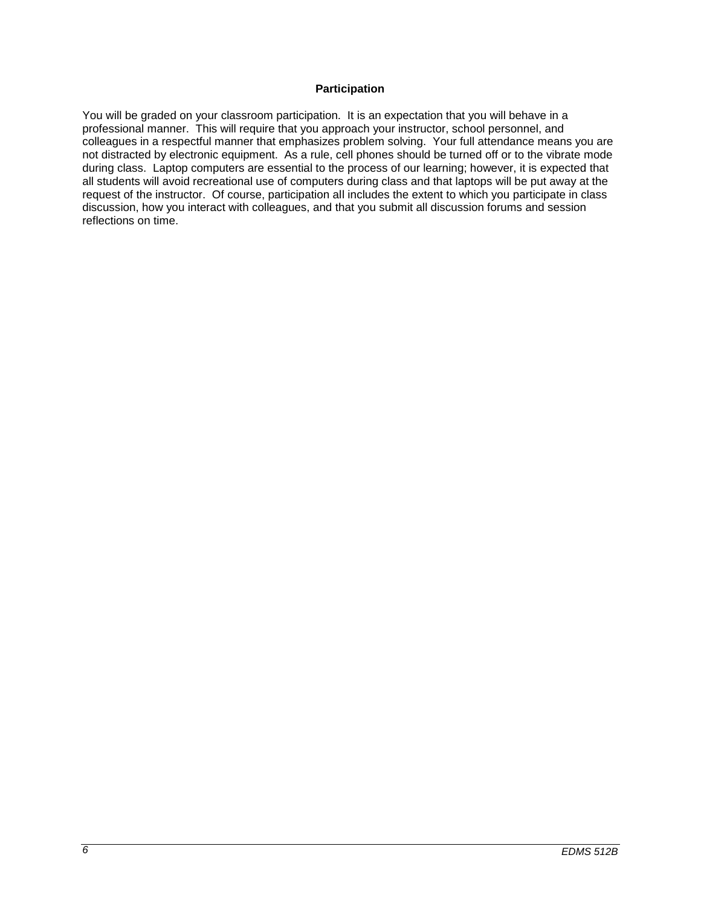## **Participation**

You will be graded on your classroom participation. It is an expectation that you will behave in a professional manner. This will require that you approach your instructor, school personnel, and colleagues in a respectful manner that emphasizes problem solving. Your full attendance means you are not distracted by electronic equipment. As a rule, cell phones should be turned off or to the vibrate mode during class. Laptop computers are essential to the process of our learning; however, it is expected that all students will avoid recreational use of computers during class and that laptops will be put away at the request of the instructor. Of course, participation all includes the extent to which you participate in class discussion, how you interact with colleagues, and that you submit all discussion forums and session reflections on time.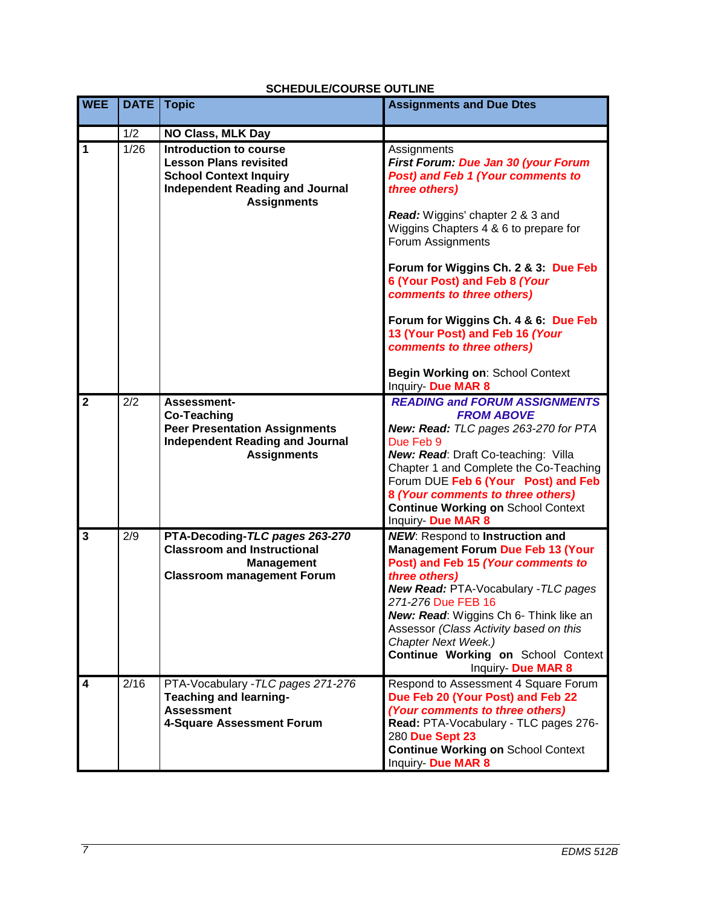|                |             | יוובוטטבבוטטטונטב טט ובווז                                                                                                                               |                                                                                                                                              |
|----------------|-------------|----------------------------------------------------------------------------------------------------------------------------------------------------------|----------------------------------------------------------------------------------------------------------------------------------------------|
| <b>WEE</b>     | <b>DATE</b> | <b>Topic</b>                                                                                                                                             | <b>Assignments and Due Dtes</b>                                                                                                              |
|                | 1/2         | <b>NO Class, MLK Day</b>                                                                                                                                 |                                                                                                                                              |
| $\overline{1}$ | 1/26        | Introduction to course<br><b>Lesson Plans revisited</b><br><b>School Context Inquiry</b><br><b>Independent Reading and Journal</b><br><b>Assignments</b> | Assignments<br>First Forum: Due Jan 30 (your Forum<br>Post) and Feb 1 (Your comments to<br>three others)<br>Read: Wiggins' chapter 2 & 3 and |
|                |             |                                                                                                                                                          | Wiggins Chapters 4 & 6 to prepare for<br>Forum Assignments                                                                                   |
|                |             |                                                                                                                                                          | Forum for Wiggins Ch. 2 & 3: Due Feb<br>6 (Your Post) and Feb 8 (Your<br>comments to three others)                                           |
|                |             |                                                                                                                                                          | Forum for Wiggins Ch. 4 & 6: Due Feb<br>13 (Your Post) and Feb 16 (Your<br>comments to three others)                                         |
|                |             |                                                                                                                                                          | Begin Working on: School Context<br>Inquiry- Due MAR 8                                                                                       |
| $\overline{2}$ | 2/2         | Assessment-                                                                                                                                              | <b>READING and FORUM ASSIGNMENTS</b>                                                                                                         |
|                |             | <b>Co-Teaching</b><br><b>Peer Presentation Assignments</b>                                                                                               | <b>FROM ABOVE</b><br>New: Read: TLC pages 263-270 for PTA                                                                                    |
|                |             | <b>Independent Reading and Journal</b>                                                                                                                   | Due Feb 9                                                                                                                                    |
|                |             | <b>Assignments</b>                                                                                                                                       | New: Read: Draft Co-teaching: Villa                                                                                                          |
|                |             |                                                                                                                                                          | Chapter 1 and Complete the Co-Teaching<br>Forum DUE Feb 6 (Your Post) and Feb                                                                |
|                |             |                                                                                                                                                          | 8 (Your comments to three others)                                                                                                            |
|                |             |                                                                                                                                                          | <b>Continue Working on School Context</b><br>Inquiry- Due MAR 8                                                                              |
| 3              | 2/9         | PTA-Decoding-TLC pages 263-270                                                                                                                           | <b>NEW:</b> Respond to Instruction and                                                                                                       |
|                |             | <b>Classroom and Instructional</b>                                                                                                                       | <b>Management Forum Due Feb 13 (Your</b>                                                                                                     |
|                |             | <b>Management</b>                                                                                                                                        | Post) and Feb 15 (Your comments to                                                                                                           |
|                |             | <b>Classroom management Forum</b>                                                                                                                        | three others)<br>New Read: PTA-Vocabulary - TLC pages                                                                                        |
|                |             |                                                                                                                                                          | 271-276 Due FEB 16                                                                                                                           |
|                |             |                                                                                                                                                          | New: Read: Wiggins Ch 6- Think like an                                                                                                       |
|                |             |                                                                                                                                                          | Assessor (Class Activity based on this<br>Chapter Next Week.)                                                                                |
|                |             |                                                                                                                                                          | Continue Working on School Context                                                                                                           |
|                |             |                                                                                                                                                          | Inquiry- Due MAR 8                                                                                                                           |
| 4              | 2/16        | PTA-Vocabulary - TLC pages 271-276                                                                                                                       | Respond to Assessment 4 Square Forum                                                                                                         |
|                |             | <b>Teaching and learning-</b><br><b>Assessment</b>                                                                                                       | Due Feb 20 (Your Post) and Feb 22<br>(Your comments to three others)                                                                         |
|                |             | 4-Square Assessment Forum                                                                                                                                | Read: PTA-Vocabulary - TLC pages 276-                                                                                                        |
|                |             |                                                                                                                                                          | 280 Due Sept 23                                                                                                                              |
|                |             |                                                                                                                                                          | <b>Continue Working on School Context</b>                                                                                                    |
|                |             |                                                                                                                                                          | Inquiry- Due MAR 8                                                                                                                           |

# **SCHEDULE/COURSE OUTLINE**